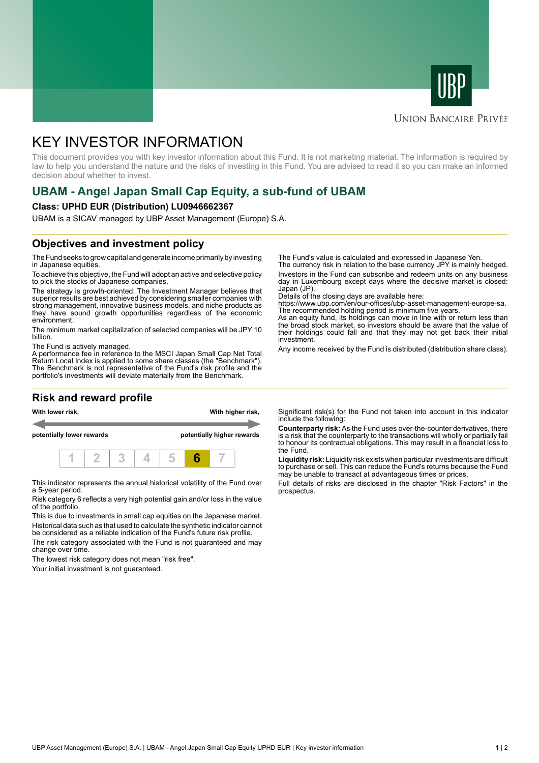



### **UNION BANCAIRE PRIVÉE**

# KEY INVESTOR INFORMATION

This document provides you with key investor information about this Fund. It is not marketing material. The information is required by law to help you understand the nature and the risks of investing in this Fund. You are advised to read it so you can make an informed decision about whether to invest.

# **UBAM - Angel Japan Small Cap Equity, a sub-fund of UBAM**

#### **Class: UPHD EUR (Distribution) LU0946662367**

UBAM is a SICAV managed by UBP Asset Management (Europe) S.A.

## **Objectives and investment policy**

The Fund seeks to grow capital and generate income primarily by investing in Japanese equities.

To achieve this objective, the Fund will adopt an active and selective policy to pick the stocks of Japanese companies.

The strategy is growth-oriented. The Investment Manager believes that superior results are best achieved by considering smaller companies with strong management, innovative business models, and niche products as they have sound growth opportunities regardless of the economic environment.

The minimum market capitalization of selected companies will be JPY 10 billion.

The Fund is actively managed.

A performance fee in reference to the MSCI Japan Small Cap Net Total Return Local Index is applied to some share classes (the "Benchmark"). The Benchmark is not representative of the Fund's risk profile and the portfolio's investments will deviate materially from the Benchmark.

### **Risk and reward profile**



This indicator represents the annual historical volatility of the Fund over a 5-year period.

Risk category 6 reflects a very high potential gain and/or loss in the value of the portfolio.

This is due to investments in small cap equities on the Japanese market. Historical data such as that used to calculate the synthetic indicator cannot be considered as a reliable indication of the Fund's future risk profile.

The risk category associated with the Fund is not guaranteed and may change over time.

The lowest risk category does not mean "risk free".

Your initial investment is not guaranteed.

The Fund's value is calculated and expressed in Japanese Yen.

The currency risk in relation to the base currency JPY is mainly hedged. Investors in the Fund can subscribe and redeem units on any business day in Luxembourg except days where the decisive market is closed: Japan (JP)

Details of the closing days are available here:

https://www.ubp.com/en/our-offices/ubp-asset-management-europe-sa. The recommended holding period is minimum five years.

As an equity fund, its holdings can move in line with or return less than the broad stock market, so investors should be aware that the value of their holdings could fall and that they may not get back their initial investment.

Any income received by the Fund is distributed (distribution share class).

Significant risk(s) for the Fund not taken into account in this indicator include the following:

**Counterparty risk:** As the Fund uses over-the-counter derivatives, there is a risk that the counterparty to the transactions will wholly or partially fail to honour its contractual obligations. This may result in a financial loss to the Fund.

**Liquidity risk:** Liquidity risk exists when particular investments are difficult to purchase or sell. This can reduce the Fund's returns because the Fund may be unable to transact at advantageous times or prices.

Full details of risks are disclosed in the chapter "Risk Factors" in the prospectus.